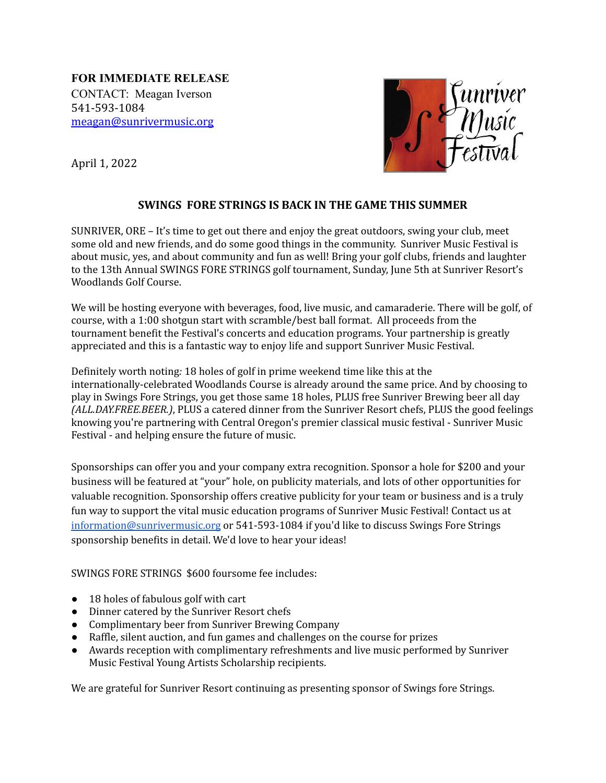**FOR IMMEDIATE RELEASE** CONTACT: Meagan Iverson 541-593-1084 [meagan@sunrivermusic.org](mailto:meagan@sunrivermusic.org)



April 1, 2022

## **SWINGS FORE STRINGS IS BACK IN THE GAME THIS SUMMER**

SUNRIVER, ORE – It's time to get out there and enjoy the great outdoors, swing your club, meet some old and new friends, and do some good things in the community. Sunriver Music Festival is about music, yes, and about community and fun as well! Bring your golf clubs, friends and laughter to the 13th Annual SWINGS FORE STRINGS golf tournament, Sunday, June 5th at Sunriver Resort's Woodlands Golf Course.

We will be hosting everyone with beverages, food, live music, and camaraderie. There will be golf, of course, with a 1:00 shotgun start with scramble/best ball format. All proceeds from the tournament benefit the Festival's concerts and education programs. Your partnership is greatly appreciated and this is a fantastic way to enjoy life and support Sunriver Music Festival.

Definitely worth noting*:* 18 holes of golf in prime weekend time like this at the internationally-celebrated Woodlands Course is already around the same price. And by choosing to play in Swings Fore Strings, you get those same 18 holes, PLUS free Sunriver Brewing beer all day *(ALL.DAY.FREE.BEER.)*, PLUS a catered dinner from the [Sunriver](https://www.sunriverresort.com/) Resort chefs, PLUS the good feelings knowing you're partnering with Central Oregon's premier classical music festival - Sunriver Music Festival - and helping ensure the future of music.

Sponsorships can offer you and your company extra recognition. Sponsor a hole for \$200 and your business will be featured at "your" hole, on publicity materials, and lots of other opportunities for valuable recognition. Sponsorship offers creative publicity for your team or business and is a truly fun way to support the vital music education programs of Sunriver Music Festival! Contact us at [information@sunrivermusic.org](mailto:information@sunrivermusic.org) or 541-593-1084 if you'd like to discuss Swings Fore Strings sponsorship benefits in detail. We'd love to hear your ideas!

SWINGS FORE STRINGS \$600 foursome fee includes:

- 18 holes of fabulous golf with cart
- Dinner catered by the Sunriver Resort chefs
- Complimentary beer from Sunriver Brewing Company
- Raffle, silent auction, and fun games and challenges on the course for prizes
- Awards reception with complimentary refreshments and live music performed by Sunriver Music Festival Young Artists Scholarship recipients.

We are grateful for Sunriver Resort continuing as presenting sponsor of Swings fore Strings.